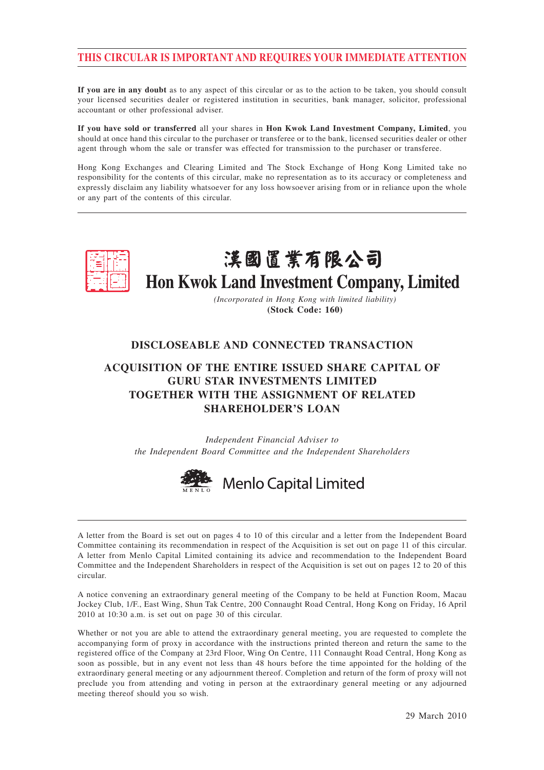# **THIS CIRCULAR IS IMPORTANT AND REQUIRES YOUR IMMEDIATE ATTENTION**

**If you are in any doubt** as to any aspect of this circular or as to the action to be taken, you should consult your licensed securities dealer or registered institution in securities, bank manager, solicitor, professional accountant or other professional adviser.

**If you have sold or transferred** all your shares in **Hon Kwok Land Investment Company, Limited**, you should at once hand this circular to the purchaser or transferee or to the bank, licensed securities dealer or other agent through whom the sale or transfer was effected for transmission to the purchaser or transferee.

Hong Kong Exchanges and Clearing Limited and The Stock Exchange of Hong Kong Limited take no responsibility for the contents of this circular, make no representation as to its accuracy or completeness and expressly disclaim any liability whatsoever for any loss howsoever arising from or in reliance upon the whole or any part of the contents of this circular.



# 漢國置業有限公司 Hon Kwok Land Investment Company, Limited

*(Incorporated in Hong Kong with limited liability)* **(Stock Code: 160)**

# **DISCLOSEABLE AND CONNECTED TRANSACTION**

# **ACQUISITION OF THE ENTIRE ISSUED SHARE CAPITAL OF GURU STAR INVESTMENTS LIMITED TOGETHER WITH THE ASSIGNMENT OF RELATED SHAREHOLDER'S LOAN**

*Independent Financial Adviser to the Independent Board Committee and the Independent Shareholders*



A letter from the Board is set out on pages 4 to 10 of this circular and a letter from the Independent Board Committee containing its recommendation in respect of the Acquisition is set out on page 11 of this circular. A letter from Menlo Capital Limited containing its advice and recommendation to the Independent Board Committee and the Independent Shareholders in respect of the Acquisition is set out on pages 12 to 20 of this circular.

A notice convening an extraordinary general meeting of the Company to be held at Function Room, Macau Jockey Club, 1/F., East Wing, Shun Tak Centre, 200 Connaught Road Central, Hong Kong on Friday, 16 April 2010 at 10:30 a.m. is set out on page 30 of this circular.

Whether or not you are able to attend the extraordinary general meeting, you are requested to complete the accompanying form of proxy in accordance with the instructions printed thereon and return the same to the registered office of the Company at 23rd Floor, Wing On Centre, 111 Connaught Road Central, Hong Kong as soon as possible, but in any event not less than 48 hours before the time appointed for the holding of the extraordinary general meeting or any adjournment thereof. Completion and return of the form of proxy will not preclude you from attending and voting in person at the extraordinary general meeting or any adjourned meeting thereof should you so wish.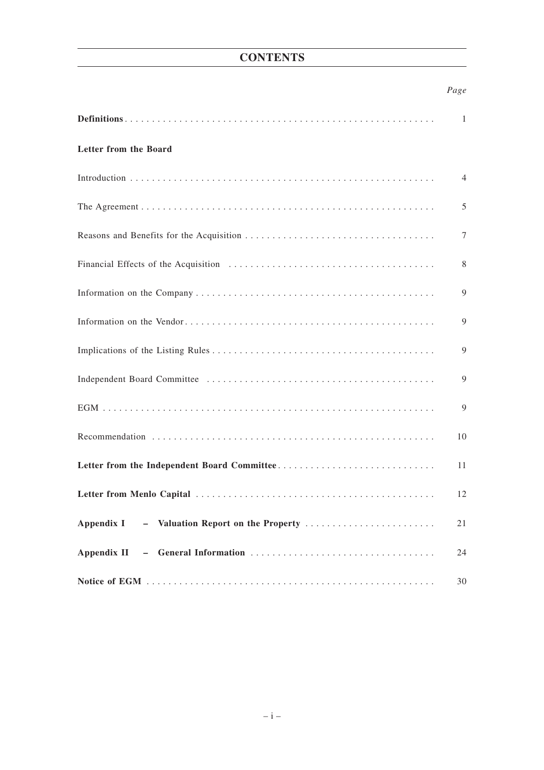# **CONTENTS**

# *Page*

|                                                  | 1  |
|--------------------------------------------------|----|
| Letter from the Board                            |    |
|                                                  | 4  |
|                                                  | 5  |
|                                                  | 7  |
|                                                  | 8  |
|                                                  | 9  |
|                                                  | 9  |
|                                                  | 9  |
|                                                  | 9  |
|                                                  | 9  |
|                                                  | 10 |
|                                                  | 11 |
|                                                  | 12 |
| Appendix I<br>- Valuation Report on the Property | 21 |
|                                                  | 24 |
|                                                  | 30 |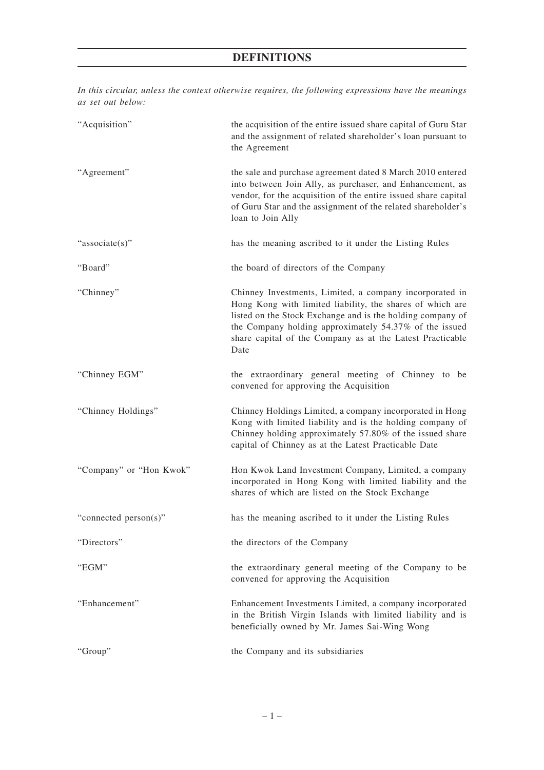# **DEFINITIONS**

*In this circular, unless the context otherwise requires, the following expressions have the meanings as set out below:* "Acquisition" the acquisition of the entire issued share capital of Guru Star and the assignment of related shareholder's loan pursuant to the Agreement "Agreement" the sale and purchase agreement dated 8 March 2010 entered into between Join Ally, as purchaser, and Enhancement, as vendor, for the acquisition of the entire issued share capital of Guru Star and the assignment of the related shareholder's loan to Join Ally

"associate(s)" has the meaning ascribed to it under the Listing Rules

"Board" the board of directors of the Company

"Chinney" Chinney Investments, Limited, a company incorporated in Hong Kong with limited liability, the shares of which are listed on the Stock Exchange and is the holding company of the Company holding approximately 54.37% of the issued share capital of the Company as at the Latest Practicable Date

"Chinney EGM" the extraordinary general meeting of Chinney to be convened for approving the Acquisition

"Chinney Holdings" Chinney Holdings Limited, a company incorporated in Hong Kong with limited liability and is the holding company of Chinney holding approximately 57.80% of the issued share capital of Chinney as at the Latest Practicable Date

"Company" or "Hon Kwok" Hon Kwok Land Investment Company, Limited, a company incorporated in Hong Kong with limited liability and the shares of which are listed on the Stock Exchange

"connected person(s)" has the meaning ascribed to it under the Listing Rules

"Directors" the directors of the Company

"EGM" the extraordinary general meeting of the Company to be

"Enhancement" Enhancement Investments Limited, a company incorporated

in the British Virgin Islands with limited liability and is

beneficially owned by Mr. James Sai-Wing Wong

convened for approving the Acquisition

"Group" the Company and its subsidiaries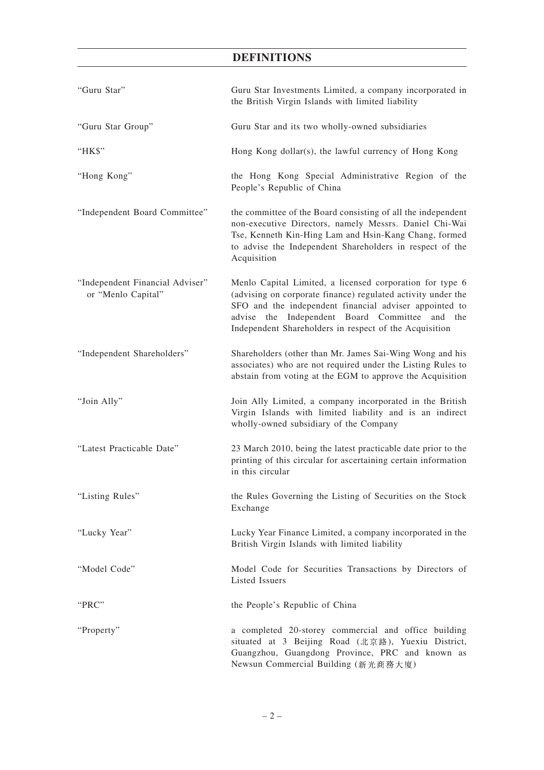# **DEFINITIONS**

| "Guru Star"                                           | Guru Star Investments Limited, a company incorporated in<br>the British Virgin Islands with limited liability                                                                                                                                                                                     |
|-------------------------------------------------------|---------------------------------------------------------------------------------------------------------------------------------------------------------------------------------------------------------------------------------------------------------------------------------------------------|
| "Guru Star Group"                                     | Guru Star and its two wholly-owned subsidiaries                                                                                                                                                                                                                                                   |
| "HK\$"                                                | Hong Kong dollar(s), the lawful currency of Hong Kong                                                                                                                                                                                                                                             |
| "Hong Kong"                                           | the Hong Kong Special Administrative Region of the<br>People's Republic of China                                                                                                                                                                                                                  |
| "Independent Board Committee"                         | the committee of the Board consisting of all the independent<br>non-executive Directors, namely Messrs. Daniel Chi-Wai<br>Tse, Kenneth Kin-Hing Lam and Hsin-Kang Chang, formed<br>to advise the Independent Shareholders in respect of the<br>Acquisition                                        |
| "Independent Financial Adviser"<br>or "Menlo Capital" | Menlo Capital Limited, a licensed corporation for type 6<br>(advising on corporate finance) regulated activity under the<br>SFO and the independent financial adviser appointed to<br>advise the Independent Board Committee<br>and the<br>Independent Shareholders in respect of the Acquisition |
| "Independent Shareholders"                            | Shareholders (other than Mr. James Sai-Wing Wong and his<br>associates) who are not required under the Listing Rules to<br>abstain from voting at the EGM to approve the Acquisition                                                                                                              |
| "Join Ally"                                           | Join Ally Limited, a company incorporated in the British<br>Virgin Islands with limited liability and is an indirect<br>wholly-owned subsidiary of the Company                                                                                                                                    |
| "Latest Practicable Date"                             | 23 March 2010, being the latest practicable date prior to the<br>printing of this circular for ascertaining certain information<br>in this circular                                                                                                                                               |
| "Listing Rules"                                       | the Rules Governing the Listing of Securities on the Stock<br>Exchange                                                                                                                                                                                                                            |
| "Lucky Year"                                          | Lucky Year Finance Limited, a company incorporated in the<br>British Virgin Islands with limited liability                                                                                                                                                                                        |
| "Model Code"                                          | Model Code for Securities Transactions by Directors of<br>Listed Issuers                                                                                                                                                                                                                          |
| "PRC"                                                 | the People's Republic of China                                                                                                                                                                                                                                                                    |
| "Property"                                            | a completed 20-storey commercial and office building<br>situated at 3 Beijing Road (北京路), Yuexiu District,<br>Guangzhou, Guangdong Province, PRC and known as<br>Newsun Commercial Building (新光商務大廈)                                                                                              |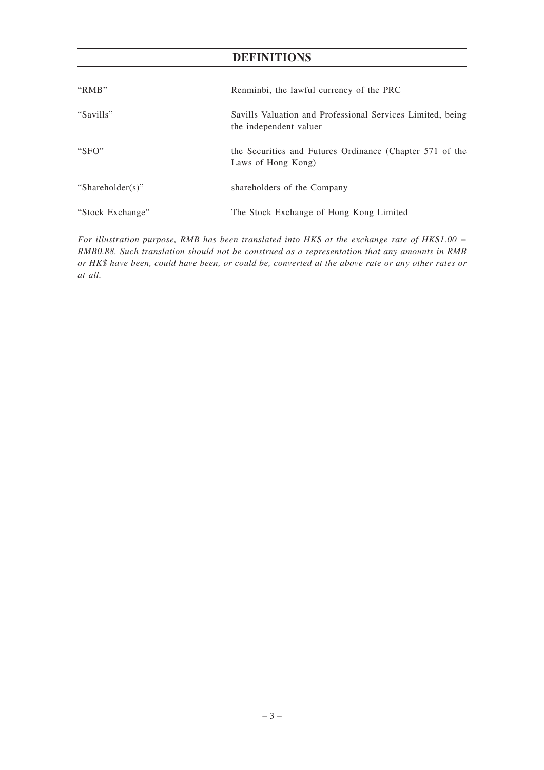# **DEFINITIONS**

| " $RMB"$         | Renminbi, the lawful currency of the PRC                                             |
|------------------|--------------------------------------------------------------------------------------|
| "Savills"        | Savills Valuation and Professional Services Limited, being<br>the independent valuer |
| "SFO"            | the Securities and Futures Ordinance (Chapter 571 of the<br>Laws of Hong Kong)       |
| "Shareholder(s)" | shareholders of the Company                                                          |
| "Stock Exchange" | The Stock Exchange of Hong Kong Limited                                              |

*For illustration purpose, RMB has been translated into HK\$ at the exchange rate of HK\$1.00 = RMB0.88. Such translation should not be construed as a representation that any amounts in RMB or HK\$ have been, could have been, or could be, converted at the above rate or any other rates or at all.*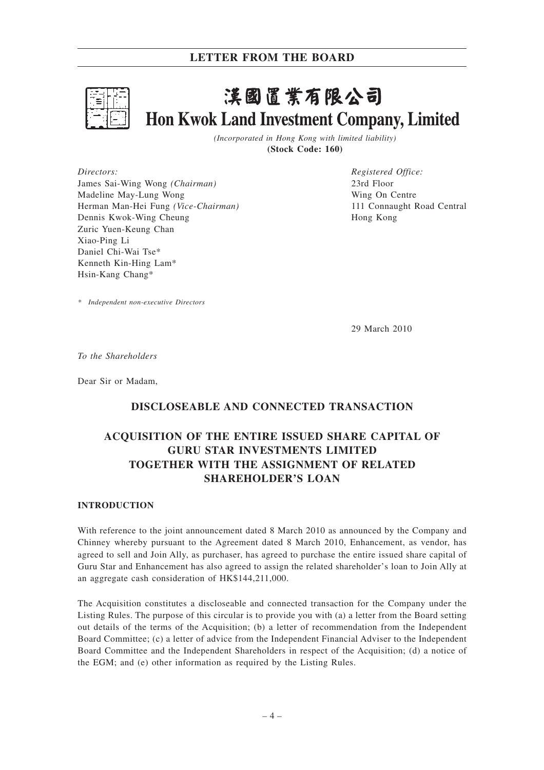

# 漢國置業有限公司 **Hon Kwok Land Investment Company, Limited**

*(Incorporated in Hong Kong with limited liability)* **(Stock Code: 160)**

*Directors:* James Sai-Wing Wong *(Chairman)* Madeline May-Lung Wong Herman Man-Hei Fung *(Vice-Chairman)* Dennis Kwok-Wing Cheung Zuric Yuen-Keung Chan Xiao-Ping Li Daniel Chi-Wai Tse\* Kenneth Kin-Hing Lam\* Hsin-Kang Chang\*

*Registered Office:* 23rd Floor Wing On Centre 111 Connaught Road Central Hong Kong

*\* Independent non-executive Directors*

29 March 2010

*To the Shareholders*

Dear Sir or Madam,

# **DISCLOSEABLE AND CONNECTED TRANSACTION**

# **ACQUISITION OF THE ENTIRE ISSUED SHARE CAPITAL OF GURU STAR INVESTMENTS LIMITED TOGETHER WITH THE ASSIGNMENT OF RELATED SHAREHOLDER'S LOAN**

## **INTRODUCTION**

With reference to the joint announcement dated 8 March 2010 as announced by the Company and Chinney whereby pursuant to the Agreement dated 8 March 2010, Enhancement, as vendor, has agreed to sell and Join Ally, as purchaser, has agreed to purchase the entire issued share capital of Guru Star and Enhancement has also agreed to assign the related shareholder's loan to Join Ally at an aggregate cash consideration of HK\$144,211,000.

The Acquisition constitutes a discloseable and connected transaction for the Company under the Listing Rules. The purpose of this circular is to provide you with (a) a letter from the Board setting out details of the terms of the Acquisition; (b) a letter of recommendation from the Independent Board Committee; (c) a letter of advice from the Independent Financial Adviser to the Independent Board Committee and the Independent Shareholders in respect of the Acquisition; (d) a notice of the EGM; and (e) other information as required by the Listing Rules.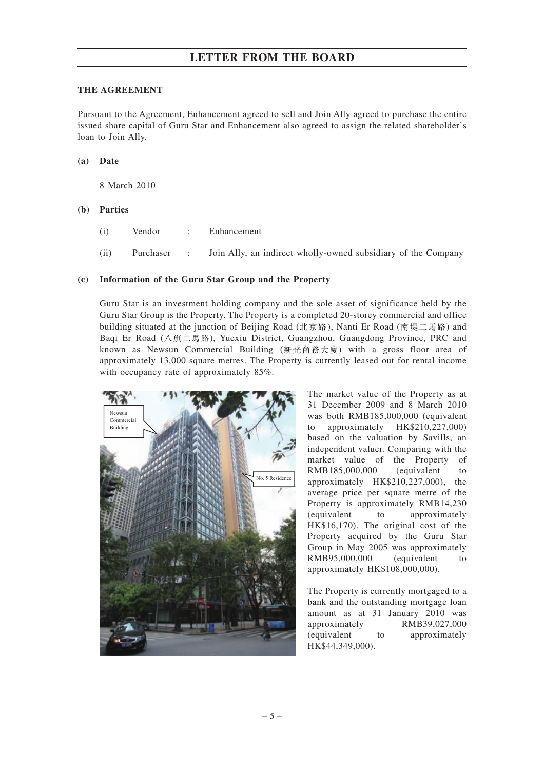#### **THE AGREEMENT**

Pursuant to the Agreement, Enhancement agreed to sell and Join Ally agreed to purchase the entire issued share capital of Guru Star and Enhancement also agreed to assign the related shareholder's loan to Join Ally.

#### **(a) Date**

8 March 2010

#### **(b) Parties**

- (i) Vendor : Enhancement
- (ii) Purchaser : Join Ally, an indirect wholly-owned subsidiary of the Company

#### **(c) Information of the Guru Star Group and the Property**

Guru Star is an investment holding company and the sole asset of significance held by the Guru Star Group is the Property. The Property is a completed 20-storey commercial and office building situated at the junction of Beijing Road (北京路), Nanti Er Road (南堤二馬路) and Baqi Er Road (八旗二馬路), Yuexiu District, Guangzhou, Guangdong Province, PRC and known as Newsun Commercial Building (新光商務大廈) with a gross floor area of approximately 13,000 square metres. The Property is currently leased out for rental income with occupancy rate of approximately 85%.



The market value of the Property as at 31 December 2009 and 8 March 2010 was both RMB185,000,000 (equivalent to approximately HK\$210,227,000) based on the valuation by Savills, an independent valuer. Comparing with the market value of the Property of RMB185,000,000 (equivalent to approximately HK\$210,227,000), the average price per square metre of the Property is approximately RMB14,230 (equivalent to approximately HK\$16,170). The original cost of the Property acquired by the Guru Star Group in May 2005 was approximately RMB95,000,000 (equivalent to approximately HK\$108,000,000).

The Property is currently mortgaged to a bank and the outstanding mortgage loan amount as at 31 January 2010 was approximately RMB39,027,000 (equivalent to approximately HK\$44,349,000).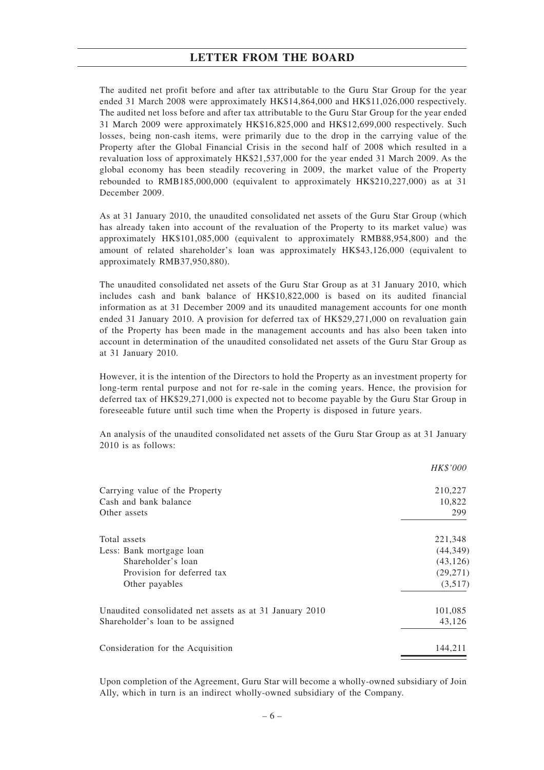The audited net profit before and after tax attributable to the Guru Star Group for the year ended 31 March 2008 were approximately HK\$14,864,000 and HK\$11,026,000 respectively. The audited net loss before and after tax attributable to the Guru Star Group for the year ended 31 March 2009 were approximately HK\$16,825,000 and HK\$12,699,000 respectively. Such losses, being non-cash items, were primarily due to the drop in the carrying value of the Property after the Global Financial Crisis in the second half of 2008 which resulted in a revaluation loss of approximately HK\$21,537,000 for the year ended 31 March 2009. As the global economy has been steadily recovering in 2009, the market value of the Property rebounded to RMB185,000,000 (equivalent to approximately HK\$210,227,000) as at 31 December 2009.

As at 31 January 2010, the unaudited consolidated net assets of the Guru Star Group (which has already taken into account of the revaluation of the Property to its market value) was approximately HK\$101,085,000 (equivalent to approximately RMB88,954,800) and the amount of related shareholder's loan was approximately HK\$43,126,000 (equivalent to approximately RMB37,950,880).

The unaudited consolidated net assets of the Guru Star Group as at 31 January 2010, which includes cash and bank balance of HK\$10,822,000 is based on its audited financial information as at 31 December 2009 and its unaudited management accounts for one month ended 31 January 2010. A provision for deferred tax of HK\$29,271,000 on revaluation gain of the Property has been made in the management accounts and has also been taken into account in determination of the unaudited consolidated net assets of the Guru Star Group as at 31 January 2010.

However, it is the intention of the Directors to hold the Property as an investment property for long-term rental purpose and not for re-sale in the coming years. Hence, the provision for deferred tax of HK\$29,271,000 is expected not to become payable by the Guru Star Group in foreseeable future until such time when the Property is disposed in future years.

An analysis of the unaudited consolidated net assets of the Guru Star Group as at 31 January 2010 is as follows:

|                                                         | HK\$'000  |
|---------------------------------------------------------|-----------|
| Carrying value of the Property                          | 210,227   |
| Cash and bank balance                                   | 10,822    |
| Other assets                                            | 299       |
| Total assets                                            | 221,348   |
| Less: Bank mortgage loan                                | (44,349)  |
| Shareholder's loan                                      | (43, 126) |
| Provision for deferred tax                              | (29, 271) |
| Other payables                                          | (3,517)   |
| Unaudited consolidated net assets as at 31 January 2010 | 101,085   |
| Shareholder's loan to be assigned                       | 43,126    |
| Consideration for the Acquisition                       | 144,211   |
|                                                         |           |

Upon completion of the Agreement, Guru Star will become a wholly-owned subsidiary of Join Ally, which in turn is an indirect wholly-owned subsidiary of the Company.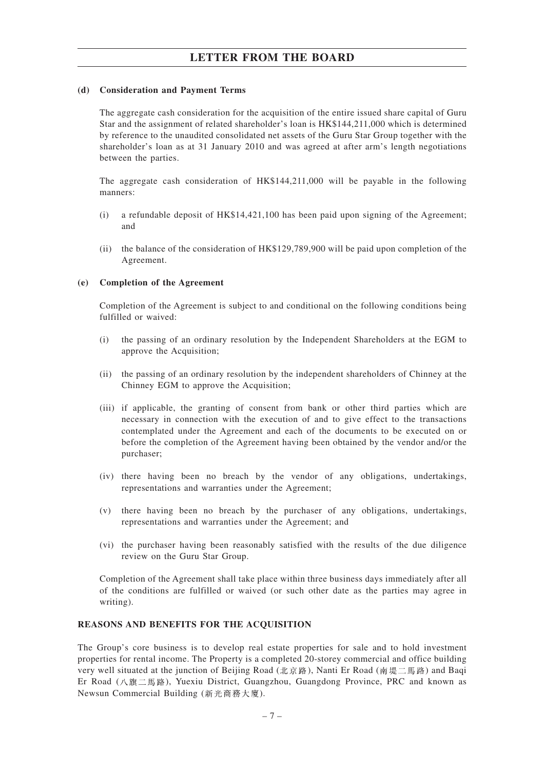## **(d) Consideration and Payment Terms**

The aggregate cash consideration for the acquisition of the entire issued share capital of Guru Star and the assignment of related shareholder's loan is HK\$144,211,000 which is determined by reference to the unaudited consolidated net assets of the Guru Star Group together with the shareholder's loan as at 31 January 2010 and was agreed at after arm's length negotiations between the parties.

The aggregate cash consideration of HK\$144,211,000 will be payable in the following manners:

- (i) a refundable deposit of HK\$14,421,100 has been paid upon signing of the Agreement; and
- (ii) the balance of the consideration of HK\$129,789,900 will be paid upon completion of the Agreement.

#### **(e) Completion of the Agreement**

Completion of the Agreement is subject to and conditional on the following conditions being fulfilled or waived:

- (i) the passing of an ordinary resolution by the Independent Shareholders at the EGM to approve the Acquisition;
- (ii) the passing of an ordinary resolution by the independent shareholders of Chinney at the Chinney EGM to approve the Acquisition;
- (iii) if applicable, the granting of consent from bank or other third parties which are necessary in connection with the execution of and to give effect to the transactions contemplated under the Agreement and each of the documents to be executed on or before the completion of the Agreement having been obtained by the vendor and/or the purchaser;
- (iv) there having been no breach by the vendor of any obligations, undertakings, representations and warranties under the Agreement;
- (v) there having been no breach by the purchaser of any obligations, undertakings, representations and warranties under the Agreement; and
- (vi) the purchaser having been reasonably satisfied with the results of the due diligence review on the Guru Star Group.

Completion of the Agreement shall take place within three business days immediately after all of the conditions are fulfilled or waived (or such other date as the parties may agree in writing).

#### **REASONS AND BENEFITS FOR THE ACQUISITION**

The Group's core business is to develop real estate properties for sale and to hold investment properties for rental income. The Property is a completed 20-storey commercial and office building very well situated at the junction of Beijing Road (北京路), Nanti Er Road (南堤二馬路) and Baqi Er Road (八旗二馬路), Yuexiu District, Guangzhou, Guangdong Province, PRC and known as Newsun Commercial Building (新光商務大廈).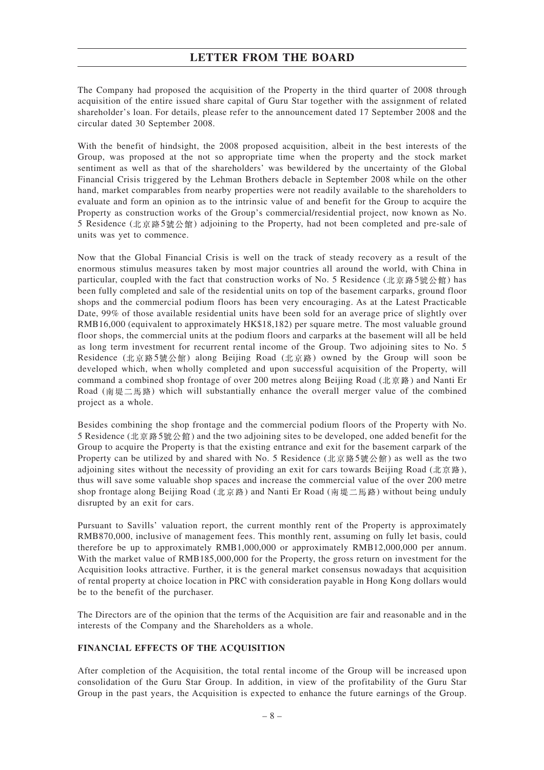The Company had proposed the acquisition of the Property in the third quarter of 2008 through acquisition of the entire issued share capital of Guru Star together with the assignment of related shareholder's loan. For details, please refer to the announcement dated 17 September 2008 and the circular dated 30 September 2008.

With the benefit of hindsight, the 2008 proposed acquisition, albeit in the best interests of the Group, was proposed at the not so appropriate time when the property and the stock market sentiment as well as that of the shareholders' was bewildered by the uncertainty of the Global Financial Crisis triggered by the Lehman Brothers debacle in September 2008 while on the other hand, market comparables from nearby properties were not readily available to the shareholders to evaluate and form an opinion as to the intrinsic value of and benefit for the Group to acquire the Property as construction works of the Group's commercial/residential project, now known as No. 5 Residence (北京路5號公館) adjoining to the Property, had not been completed and pre-sale of units was yet to commence.

Now that the Global Financial Crisis is well on the track of steady recovery as a result of the enormous stimulus measures taken by most major countries all around the world, with China in particular, coupled with the fact that construction works of No. 5 Residence (北京路5號公館) has been fully completed and sale of the residential units on top of the basement carparks, ground floor shops and the commercial podium floors has been very encouraging. As at the Latest Practicable Date, 99% of those available residential units have been sold for an average price of slightly over RMB16,000 (equivalent to approximately HK\$18,182) per square metre. The most valuable ground floor shops, the commercial units at the podium floors and carparks at the basement will all be held as long term investment for recurrent rental income of the Group. Two adjoining sites to No. 5 Residence (北京路5號公館) along Beijing Road (北京路) owned by the Group will soon be developed which, when wholly completed and upon successful acquisition of the Property, will command a combined shop frontage of over 200 metres along Beijing Road  $(\text{Tr} \overline{\mathbf{\pi}})$  and Nanti Er Road (南堤二馬路) which will substantially enhance the overall merger value of the combined project as a whole.

Besides combining the shop frontage and the commercial podium floors of the Property with No. 5 Residence (北京路5號公館) and the two adjoining sites to be developed, one added benefit for the Group to acquire the Property is that the existing entrance and exit for the basement carpark of the Property can be utilized by and shared with No. 5 Residence (北京路5號公館) as well as the two adjoining sites without the necessity of providing an exit for cars towards Beijing Road (北京路), thus will save some valuable shop spaces and increase the commercial value of the over 200 metre shop frontage along Beijing Road ( $\&$   $\ddot{x}$   $\ddot{x}$ ) and Nanti Er Road (南堤二馬路) without being unduly disrupted by an exit for cars.

Pursuant to Savills' valuation report, the current monthly rent of the Property is approximately RMB870,000, inclusive of management fees. This monthly rent, assuming on fully let basis, could therefore be up to approximately RMB1,000,000 or approximately RMB12,000,000 per annum. With the market value of RMB185,000,000 for the Property, the gross return on investment for the Acquisition looks attractive. Further, it is the general market consensus nowadays that acquisition of rental property at choice location in PRC with consideration payable in Hong Kong dollars would be to the benefit of the purchaser.

The Directors are of the opinion that the terms of the Acquisition are fair and reasonable and in the interests of the Company and the Shareholders as a whole.

## **FINANCIAL EFFECTS OF THE ACQUISITION**

After completion of the Acquisition, the total rental income of the Group will be increased upon consolidation of the Guru Star Group. In addition, in view of the profitability of the Guru Star Group in the past years, the Acquisition is expected to enhance the future earnings of the Group.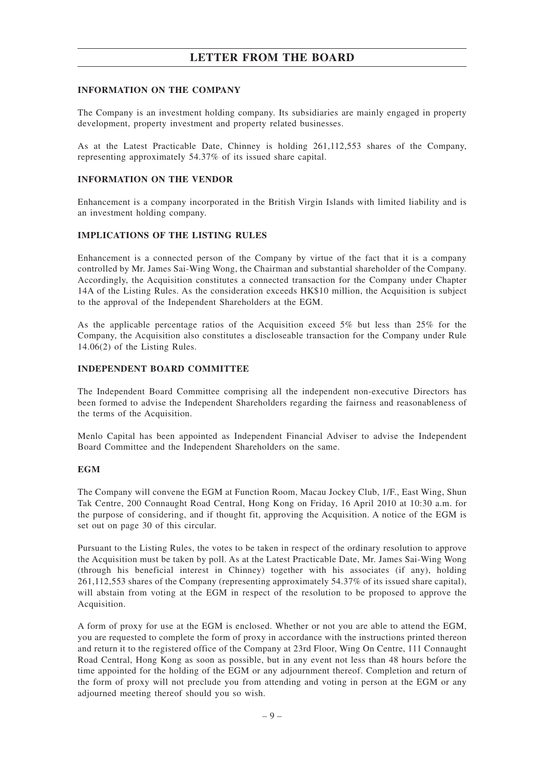## **INFORMATION ON THE COMPANY**

The Company is an investment holding company. Its subsidiaries are mainly engaged in property development, property investment and property related businesses.

As at the Latest Practicable Date, Chinney is holding 261,112,553 shares of the Company, representing approximately 54.37% of its issued share capital.

## **INFORMATION ON THE VENDOR**

Enhancement is a company incorporated in the British Virgin Islands with limited liability and is an investment holding company.

#### **IMPLICATIONS OF THE LISTING RULES**

Enhancement is a connected person of the Company by virtue of the fact that it is a company controlled by Mr. James Sai-Wing Wong, the Chairman and substantial shareholder of the Company. Accordingly, the Acquisition constitutes a connected transaction for the Company under Chapter 14A of the Listing Rules. As the consideration exceeds HK\$10 million, the Acquisition is subject to the approval of the Independent Shareholders at the EGM.

As the applicable percentage ratios of the Acquisition exceed 5% but less than 25% for the Company, the Acquisition also constitutes a discloseable transaction for the Company under Rule 14.06(2) of the Listing Rules.

#### **INDEPENDENT BOARD COMMITTEE**

The Independent Board Committee comprising all the independent non-executive Directors has been formed to advise the Independent Shareholders regarding the fairness and reasonableness of the terms of the Acquisition.

Menlo Capital has been appointed as Independent Financial Adviser to advise the Independent Board Committee and the Independent Shareholders on the same.

## **EGM**

The Company will convene the EGM at Function Room, Macau Jockey Club, 1/F., East Wing, Shun Tak Centre, 200 Connaught Road Central, Hong Kong on Friday, 16 April 2010 at 10:30 a.m. for the purpose of considering, and if thought fit, approving the Acquisition. A notice of the EGM is set out on page 30 of this circular.

Pursuant to the Listing Rules, the votes to be taken in respect of the ordinary resolution to approve the Acquisition must be taken by poll. As at the Latest Practicable Date, Mr. James Sai-Wing Wong (through his beneficial interest in Chinney) together with his associates (if any), holding 261,112,553 shares of the Company (representing approximately 54.37% of its issued share capital), will abstain from voting at the EGM in respect of the resolution to be proposed to approve the Acquisition.

A form of proxy for use at the EGM is enclosed. Whether or not you are able to attend the EGM, you are requested to complete the form of proxy in accordance with the instructions printed thereon and return it to the registered office of the Company at 23rd Floor, Wing On Centre, 111 Connaught Road Central, Hong Kong as soon as possible, but in any event not less than 48 hours before the time appointed for the holding of the EGM or any adjournment thereof. Completion and return of the form of proxy will not preclude you from attending and voting in person at the EGM or any adjourned meeting thereof should you so wish.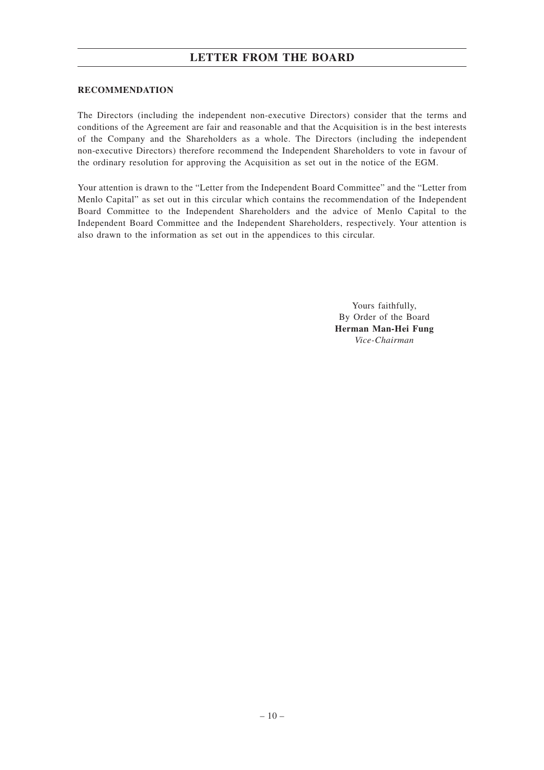## **RECOMMENDATION**

The Directors (including the independent non-executive Directors) consider that the terms and conditions of the Agreement are fair and reasonable and that the Acquisition is in the best interests of the Company and the Shareholders as a whole. The Directors (including the independent non-executive Directors) therefore recommend the Independent Shareholders to vote in favour of the ordinary resolution for approving the Acquisition as set out in the notice of the EGM.

Your attention is drawn to the "Letter from the Independent Board Committee" and the "Letter from Menlo Capital" as set out in this circular which contains the recommendation of the Independent Board Committee to the Independent Shareholders and the advice of Menlo Capital to the Independent Board Committee and the Independent Shareholders, respectively. Your attention is also drawn to the information as set out in the appendices to this circular.

> Yours faithfully, By Order of the Board **Herman Man-Hei Fung** *Vice-Chairman*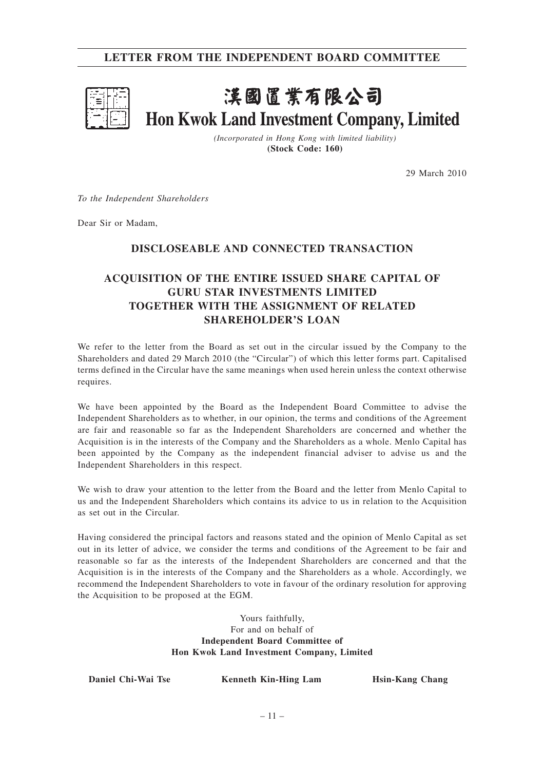

# 漢國置業有限公司 Hon Kwok Land Investment Company, Limited

*(Incorporated in Hong Kong with limited liability)* **(Stock Code: 160)**

29 March 2010

*To the Independent Shareholders*

Dear Sir or Madam,

# **DISCLOSEABLE AND CONNECTED TRANSACTION**

# **ACQUISITION OF THE ENTIRE ISSUED SHARE CAPITAL OF GURU STAR INVESTMENTS LIMITED TOGETHER WITH THE ASSIGNMENT OF RELATED SHAREHOLDER'S LOAN**

We refer to the letter from the Board as set out in the circular issued by the Company to the Shareholders and dated 29 March 2010 (the "Circular") of which this letter forms part. Capitalised terms defined in the Circular have the same meanings when used herein unless the context otherwise requires.

We have been appointed by the Board as the Independent Board Committee to advise the Independent Shareholders as to whether, in our opinion, the terms and conditions of the Agreement are fair and reasonable so far as the Independent Shareholders are concerned and whether the Acquisition is in the interests of the Company and the Shareholders as a whole. Menlo Capital has been appointed by the Company as the independent financial adviser to advise us and the Independent Shareholders in this respect.

We wish to draw your attention to the letter from the Board and the letter from Menlo Capital to us and the Independent Shareholders which contains its advice to us in relation to the Acquisition as set out in the Circular.

Having considered the principal factors and reasons stated and the opinion of Menlo Capital as set out in its letter of advice, we consider the terms and conditions of the Agreement to be fair and reasonable so far as the interests of the Independent Shareholders are concerned and that the Acquisition is in the interests of the Company and the Shareholders as a whole. Accordingly, we recommend the Independent Shareholders to vote in favour of the ordinary resolution for approving the Acquisition to be proposed at the EGM.

> Yours faithfully, For and on behalf of **Independent Board Committee of Hon Kwok Land Investment Company, Limited**

**Daniel Chi-Wai Tse Kenneth Kin-Hing Lam Hsin-Kang Chang**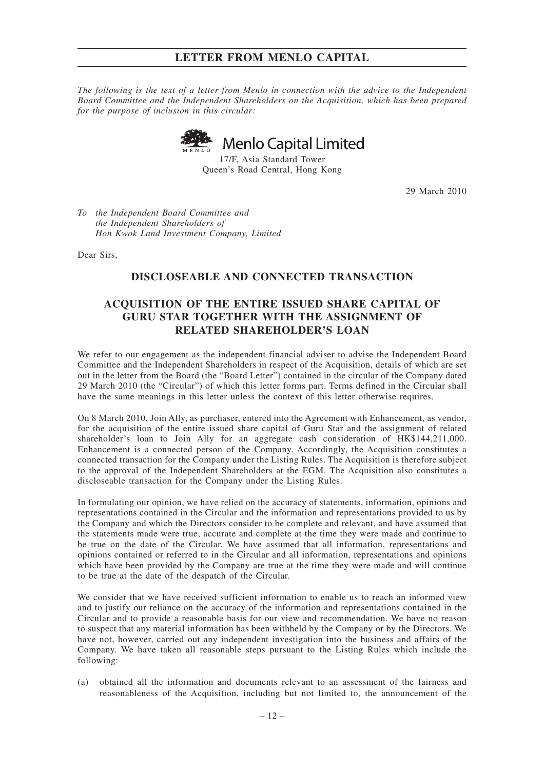*The following is the text of a letter from Menlo in connection with the advice to the Independent Board Committee and the Independent Shareholders on the Acquisition, which has been prepared for the purpose of inclusion in this circular:*

**Menlo Capital Limited** 

17/F, Asia Standard Tower Queen's Road Central, Hong Kong

29 March 2010

*To the Independent Board Committee and the Independent Shareholders of Hon Kwok Land Investment Company, Limited*

Dear Sirs,

# **DISCLOSEABLE AND CONNECTED TRANSACTION**

# **ACQUISITION OF THE ENTIRE ISSUED SHARE CAPITAL OF GURU STAR TOGETHER WITH THE ASSIGNMENT OF RELATED SHAREHOLDER'S LOAN**

We refer to our engagement as the independent financial adviser to advise the Independent Board Committee and the Independent Shareholders in respect of the Acquisition, details of which are set out in the letter from the Board (the "Board Letter") contained in the circular of the Company dated 29 March 2010 (the "Circular") of which this letter forms part. Terms defined in the Circular shall have the same meanings in this letter unless the context of this letter otherwise requires.

On 8 March 2010, Join Ally, as purchaser, entered into the Agreement with Enhancement, as vendor, for the acquisition of the entire issued share capital of Guru Star and the assignment of related shareholder's loan to Join Ally for an aggregate cash consideration of HK\$144,211,000. Enhancement is a connected person of the Company. Accordingly, the Acquisition constitutes a connected transaction for the Company under the Listing Rules. The Acquisition is therefore subject to the approval of the Independent Shareholders at the EGM. The Acquisition also constitutes a discloseable transaction for the Company under the Listing Rules.

In formulating our opinion, we have relied on the accuracy of statements, information, opinions and representations contained in the Circular and the information and representations provided to us by the Company and which the Directors consider to be complete and relevant, and have assumed that the statements made were true, accurate and complete at the time they were made and continue to be true on the date of the Circular. We have assumed that all information, representations and opinions contained or referred to in the Circular and all information, representations and opinions which have been provided by the Company are true at the time they were made and will continue to be true at the date of the despatch of the Circular.

We consider that we have received sufficient information to enable us to reach an informed view and to justify our reliance on the accuracy of the information and representations contained in the Circular and to provide a reasonable basis for our view and recommendation. We have no reason to suspect that any material information has been withheld by the Company or by the Directors. We have not, however, carried out any independent investigation into the business and affairs of the Company. We have taken all reasonable steps pursuant to the Listing Rules which include the following:

(a) obtained all the information and documents relevant to an assessment of the fairness and reasonableness of the Acquisition, including but not limited to, the announcement of the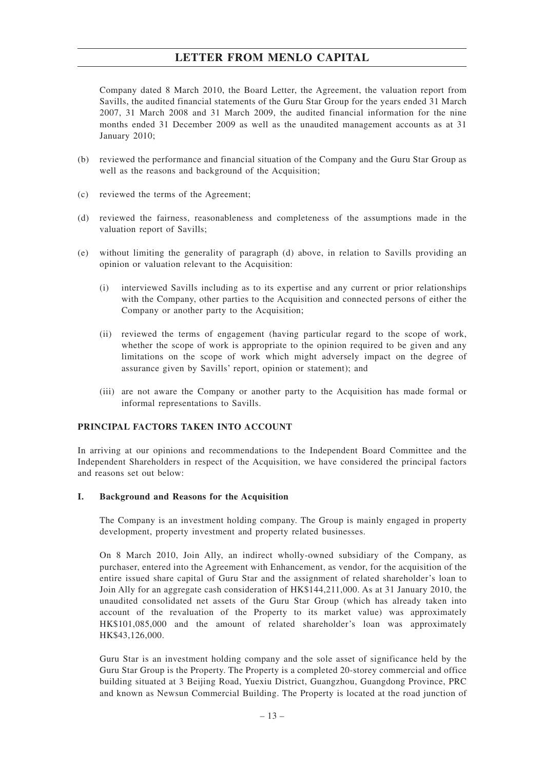Company dated 8 March 2010, the Board Letter, the Agreement, the valuation report from Savills, the audited financial statements of the Guru Star Group for the years ended 31 March 2007, 31 March 2008 and 31 March 2009, the audited financial information for the nine months ended 31 December 2009 as well as the unaudited management accounts as at 31 January 2010;

- (b) reviewed the performance and financial situation of the Company and the Guru Star Group as well as the reasons and background of the Acquisition;
- (c) reviewed the terms of the Agreement;
- (d) reviewed the fairness, reasonableness and completeness of the assumptions made in the valuation report of Savills;
- (e) without limiting the generality of paragraph (d) above, in relation to Savills providing an opinion or valuation relevant to the Acquisition:
	- (i) interviewed Savills including as to its expertise and any current or prior relationships with the Company, other parties to the Acquisition and connected persons of either the Company or another party to the Acquisition;
	- (ii) reviewed the terms of engagement (having particular regard to the scope of work, whether the scope of work is appropriate to the opinion required to be given and any limitations on the scope of work which might adversely impact on the degree of assurance given by Savills' report, opinion or statement); and
	- (iii) are not aware the Company or another party to the Acquisition has made formal or informal representations to Savills.

## **PRINCIPAL FACTORS TAKEN INTO ACCOUNT**

In arriving at our opinions and recommendations to the Independent Board Committee and the Independent Shareholders in respect of the Acquisition, we have considered the principal factors and reasons set out below:

#### **I. Background and Reasons for the Acquisition**

The Company is an investment holding company. The Group is mainly engaged in property development, property investment and property related businesses.

On 8 March 2010, Join Ally, an indirect wholly-owned subsidiary of the Company, as purchaser, entered into the Agreement with Enhancement, as vendor, for the acquisition of the entire issued share capital of Guru Star and the assignment of related shareholder's loan to Join Ally for an aggregate cash consideration of HK\$144,211,000. As at 31 January 2010, the unaudited consolidated net assets of the Guru Star Group (which has already taken into account of the revaluation of the Property to its market value) was approximately HK\$101,085,000 and the amount of related shareholder's loan was approximately HK\$43,126,000.

Guru Star is an investment holding company and the sole asset of significance held by the Guru Star Group is the Property. The Property is a completed 20-storey commercial and office building situated at 3 Beijing Road, Yuexiu District, Guangzhou, Guangdong Province, PRC and known as Newsun Commercial Building. The Property is located at the road junction of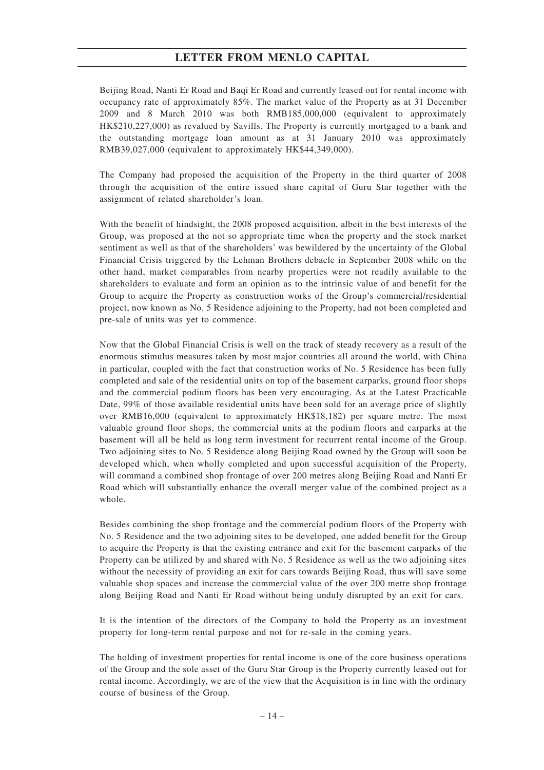Beijing Road, Nanti Er Road and Baqi Er Road and currently leased out for rental income with occupancy rate of approximately 85%. The market value of the Property as at 31 December 2009 and 8 March 2010 was both RMB185,000,000 (equivalent to approximately HK\$210,227,000) as revalued by Savills. The Property is currently mortgaged to a bank and the outstanding mortgage loan amount as at 31 January 2010 was approximately RMB39,027,000 (equivalent to approximately HK\$44,349,000).

The Company had proposed the acquisition of the Property in the third quarter of 2008 through the acquisition of the entire issued share capital of Guru Star together with the assignment of related shareholder's loan.

With the benefit of hindsight, the 2008 proposed acquisition, albeit in the best interests of the Group, was proposed at the not so appropriate time when the property and the stock market sentiment as well as that of the shareholders' was bewildered by the uncertainty of the Global Financial Crisis triggered by the Lehman Brothers debacle in September 2008 while on the other hand, market comparables from nearby properties were not readily available to the shareholders to evaluate and form an opinion as to the intrinsic value of and benefit for the Group to acquire the Property as construction works of the Group's commercial/residential project, now known as No. 5 Residence adjoining to the Property, had not been completed and pre-sale of units was yet to commence.

Now that the Global Financial Crisis is well on the track of steady recovery as a result of the enormous stimulus measures taken by most major countries all around the world, with China in particular, coupled with the fact that construction works of No. 5 Residence has been fully completed and sale of the residential units on top of the basement carparks, ground floor shops and the commercial podium floors has been very encouraging. As at the Latest Practicable Date, 99% of those available residential units have been sold for an average price of slightly over RMB16,000 (equivalent to approximately HK\$18,182) per square metre. The most valuable ground floor shops, the commercial units at the podium floors and carparks at the basement will all be held as long term investment for recurrent rental income of the Group. Two adjoining sites to No. 5 Residence along Beijing Road owned by the Group will soon be developed which, when wholly completed and upon successful acquisition of the Property, will command a combined shop frontage of over 200 metres along Beijing Road and Nanti Er Road which will substantially enhance the overall merger value of the combined project as a whole.

Besides combining the shop frontage and the commercial podium floors of the Property with No. 5 Residence and the two adjoining sites to be developed, one added benefit for the Group to acquire the Property is that the existing entrance and exit for the basement carparks of the Property can be utilized by and shared with No. 5 Residence as well as the two adjoining sites without the necessity of providing an exit for cars towards Beijing Road, thus will save some valuable shop spaces and increase the commercial value of the over 200 metre shop frontage along Beijing Road and Nanti Er Road without being unduly disrupted by an exit for cars.

It is the intention of the directors of the Company to hold the Property as an investment property for long-term rental purpose and not for re-sale in the coming years.

The holding of investment properties for rental income is one of the core business operations of the Group and the sole asset of the Guru Star Group is the Property currently leased out for rental income. Accordingly, we are of the view that the Acquisition is in line with the ordinary course of business of the Group.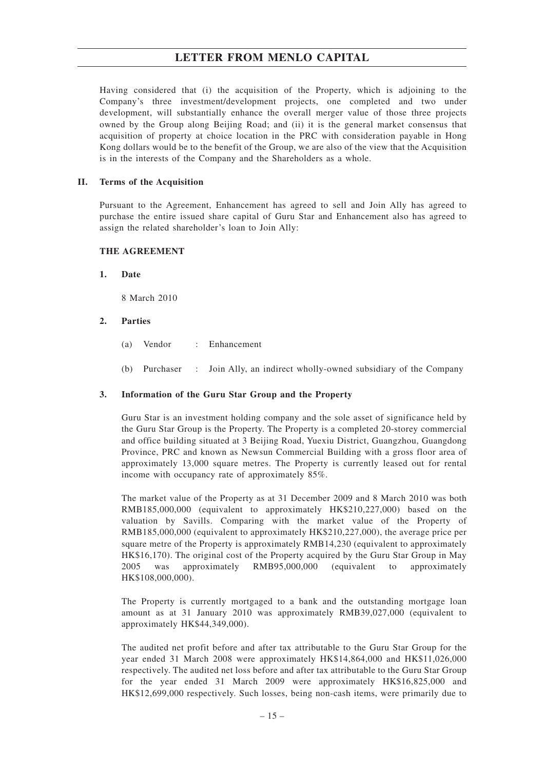Having considered that (i) the acquisition of the Property, which is adjoining to the Company's three investment/development projects, one completed and two under development, will substantially enhance the overall merger value of those three projects owned by the Group along Beijing Road; and (ii) it is the general market consensus that acquisition of property at choice location in the PRC with consideration payable in Hong Kong dollars would be to the benefit of the Group, we are also of the view that the Acquisition is in the interests of the Company and the Shareholders as a whole.

#### **II. Terms of the Acquisition**

Pursuant to the Agreement, Enhancement has agreed to sell and Join Ally has agreed to purchase the entire issued share capital of Guru Star and Enhancement also has agreed to assign the related shareholder's loan to Join Ally:

#### **THE AGREEMENT**

#### **1. Date**

8 March 2010

#### **2. Parties**

- (a) Vendor : Enhancement
- (b) Purchaser : Join Ally, an indirect wholly-owned subsidiary of the Company

#### **3. Information of the Guru Star Group and the Property**

Guru Star is an investment holding company and the sole asset of significance held by the Guru Star Group is the Property. The Property is a completed 20-storey commercial and office building situated at 3 Beijing Road, Yuexiu District, Guangzhou, Guangdong Province, PRC and known as Newsun Commercial Building with a gross floor area of approximately 13,000 square metres. The Property is currently leased out for rental income with occupancy rate of approximately 85%.

The market value of the Property as at 31 December 2009 and 8 March 2010 was both RMB185,000,000 (equivalent to approximately HK\$210,227,000) based on the valuation by Savills. Comparing with the market value of the Property of RMB185,000,000 (equivalent to approximately HK\$210,227,000), the average price per square metre of the Property is approximately RMB14,230 (equivalent to approximately HK\$16,170). The original cost of the Property acquired by the Guru Star Group in May 2005 was approximately RMB95,000,000 (equivalent to approximately HK\$108,000,000).

The Property is currently mortgaged to a bank and the outstanding mortgage loan amount as at 31 January 2010 was approximately RMB39,027,000 (equivalent to approximately HK\$44,349,000).

The audited net profit before and after tax attributable to the Guru Star Group for the year ended 31 March 2008 were approximately HK\$14,864,000 and HK\$11,026,000 respectively. The audited net loss before and after tax attributable to the Guru Star Group for the year ended 31 March 2009 were approximately HK\$16,825,000 and HK\$12,699,000 respectively. Such losses, being non-cash items, were primarily due to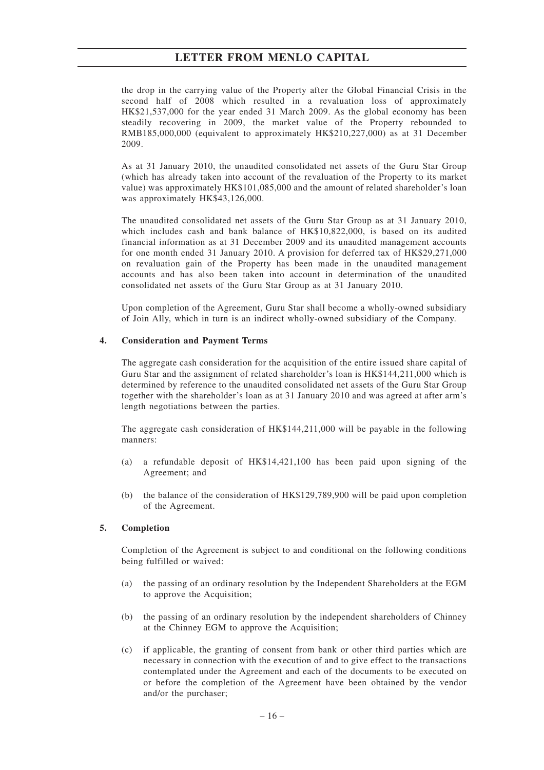the drop in the carrying value of the Property after the Global Financial Crisis in the second half of 2008 which resulted in a revaluation loss of approximately HK\$21,537,000 for the year ended 31 March 2009. As the global economy has been steadily recovering in 2009, the market value of the Property rebounded to RMB185,000,000 (equivalent to approximately HK\$210,227,000) as at 31 December 2009.

As at 31 January 2010, the unaudited consolidated net assets of the Guru Star Group (which has already taken into account of the revaluation of the Property to its market value) was approximately HK\$101,085,000 and the amount of related shareholder's loan was approximately HK\$43,126,000.

The unaudited consolidated net assets of the Guru Star Group as at 31 January 2010, which includes cash and bank balance of HK\$10,822,000, is based on its audited financial information as at 31 December 2009 and its unaudited management accounts for one month ended 31 January 2010. A provision for deferred tax of HK\$29,271,000 on revaluation gain of the Property has been made in the unaudited management accounts and has also been taken into account in determination of the unaudited consolidated net assets of the Guru Star Group as at 31 January 2010.

Upon completion of the Agreement, Guru Star shall become a wholly-owned subsidiary of Join Ally, which in turn is an indirect wholly-owned subsidiary of the Company.

## **4. Consideration and Payment Terms**

The aggregate cash consideration for the acquisition of the entire issued share capital of Guru Star and the assignment of related shareholder's loan is HK\$144,211,000 which is determined by reference to the unaudited consolidated net assets of the Guru Star Group together with the shareholder's loan as at 31 January 2010 and was agreed at after arm's length negotiations between the parties.

The aggregate cash consideration of HK\$144,211,000 will be payable in the following manners:

- (a) a refundable deposit of HK\$14,421,100 has been paid upon signing of the Agreement; and
- (b) the balance of the consideration of HK\$129,789,900 will be paid upon completion of the Agreement.

## **5. Completion**

Completion of the Agreement is subject to and conditional on the following conditions being fulfilled or waived:

- (a) the passing of an ordinary resolution by the Independent Shareholders at the EGM to approve the Acquisition;
- (b) the passing of an ordinary resolution by the independent shareholders of Chinney at the Chinney EGM to approve the Acquisition;
- (c) if applicable, the granting of consent from bank or other third parties which are necessary in connection with the execution of and to give effect to the transactions contemplated under the Agreement and each of the documents to be executed on or before the completion of the Agreement have been obtained by the vendor and/or the purchaser;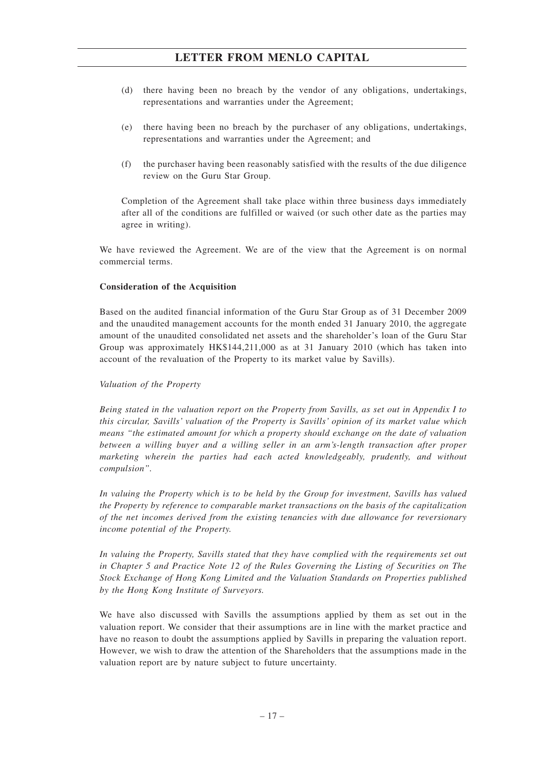- (d) there having been no breach by the vendor of any obligations, undertakings, representations and warranties under the Agreement;
- (e) there having been no breach by the purchaser of any obligations, undertakings, representations and warranties under the Agreement; and
- (f) the purchaser having been reasonably satisfied with the results of the due diligence review on the Guru Star Group.

Completion of the Agreement shall take place within three business days immediately after all of the conditions are fulfilled or waived (or such other date as the parties may agree in writing).

We have reviewed the Agreement. We are of the view that the Agreement is on normal commercial terms.

# **Consideration of the Acquisition**

Based on the audited financial information of the Guru Star Group as of 31 December 2009 and the unaudited management accounts for the month ended 31 January 2010, the aggregate amount of the unaudited consolidated net assets and the shareholder's loan of the Guru Star Group was approximately HK\$144,211,000 as at 31 January 2010 (which has taken into account of the revaluation of the Property to its market value by Savills).

## *Valuation of the Property*

*Being stated in the valuation report on the Property from Savills, as set out in Appendix I to this circular, Savills' valuation of the Property is Savills' opinion of its market value which means "the estimated amount for which a property should exchange on the date of valuation between a willing buyer and a willing seller in an arm's-length transaction after proper marketing wherein the parties had each acted knowledgeably, prudently, and without compulsion".*

*In valuing the Property which is to be held by the Group for investment, Savills has valued the Property by reference to comparable market transactions on the basis of the capitalization of the net incomes derived from the existing tenancies with due allowance for reversionary income potential of the Property.*

*In valuing the Property, Savills stated that they have complied with the requirements set out in Chapter 5 and Practice Note 12 of the Rules Governing the Listing of Securities on The Stock Exchange of Hong Kong Limited and the Valuation Standards on Properties published by the Hong Kong Institute of Surveyors.*

We have also discussed with Savills the assumptions applied by them as set out in the valuation report. We consider that their assumptions are in line with the market practice and have no reason to doubt the assumptions applied by Savills in preparing the valuation report. However, we wish to draw the attention of the Shareholders that the assumptions made in the valuation report are by nature subject to future uncertainty.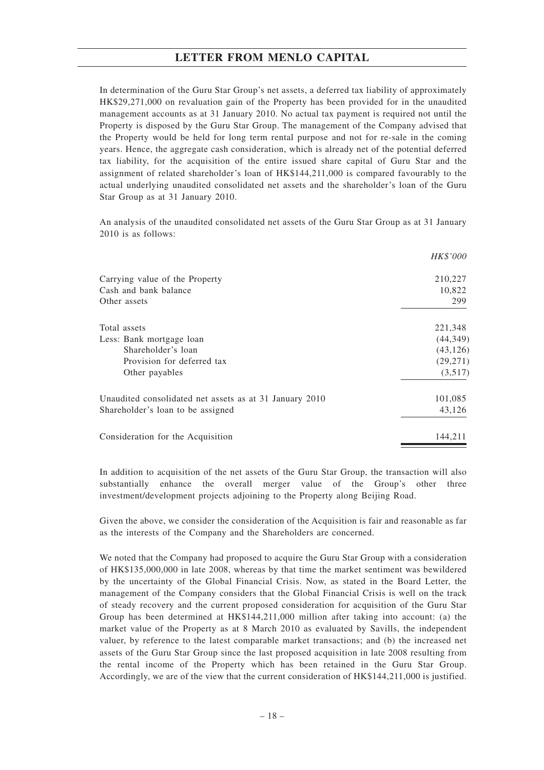In determination of the Guru Star Group's net assets, a deferred tax liability of approximately HK\$29,271,000 on revaluation gain of the Property has been provided for in the unaudited management accounts as at 31 January 2010. No actual tax payment is required not until the Property is disposed by the Guru Star Group. The management of the Company advised that the Property would be held for long term rental purpose and not for re-sale in the coming years. Hence, the aggregate cash consideration, which is already net of the potential deferred tax liability, for the acquisition of the entire issued share capital of Guru Star and the assignment of related shareholder's loan of HK\$144,211,000 is compared favourably to the actual underlying unaudited consolidated net assets and the shareholder's loan of the Guru Star Group as at 31 January 2010.

An analysis of the unaudited consolidated net assets of the Guru Star Group as at 31 January 2010 is as follows:

|                                                         | <i>HK\$'000</i> |
|---------------------------------------------------------|-----------------|
| Carrying value of the Property                          | 210,227         |
| Cash and bank balance                                   | 10,822          |
| Other assets                                            | 299             |
| Total assets                                            | 221,348         |
| Less: Bank mortgage loan                                | (44, 349)       |
| Shareholder's loan                                      | (43, 126)       |
| Provision for deferred tax                              | (29, 271)       |
| Other payables                                          | (3,517)         |
| Unaudited consolidated net assets as at 31 January 2010 | 101,085         |
| Shareholder's loan to be assigned                       | 43,126          |
| Consideration for the Acquisition                       | 144,211         |

In addition to acquisition of the net assets of the Guru Star Group, the transaction will also substantially enhance the overall merger value of the Group's other three investment/development projects adjoining to the Property along Beijing Road.

Given the above, we consider the consideration of the Acquisition is fair and reasonable as far as the interests of the Company and the Shareholders are concerned.

We noted that the Company had proposed to acquire the Guru Star Group with a consideration of HK\$135,000,000 in late 2008, whereas by that time the market sentiment was bewildered by the uncertainty of the Global Financial Crisis. Now, as stated in the Board Letter, the management of the Company considers that the Global Financial Crisis is well on the track of steady recovery and the current proposed consideration for acquisition of the Guru Star Group has been determined at HK\$144,211,000 million after taking into account: (a) the market value of the Property as at 8 March 2010 as evaluated by Savills, the independent valuer, by reference to the latest comparable market transactions; and (b) the increased net assets of the Guru Star Group since the last proposed acquisition in late 2008 resulting from the rental income of the Property which has been retained in the Guru Star Group. Accordingly, we are of the view that the current consideration of HK\$144,211,000 is justified.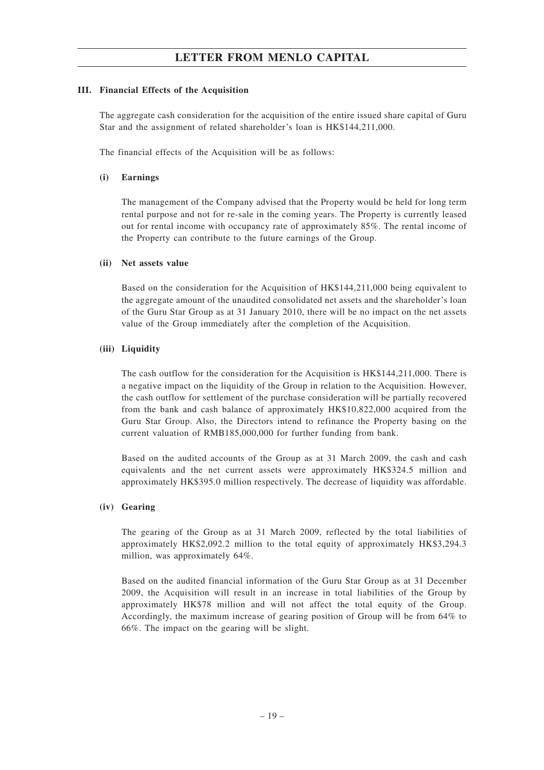# **III. Financial Effects of the Acquisition**

The aggregate cash consideration for the acquisition of the entire issued share capital of Guru Star and the assignment of related shareholder's loan is HK\$144,211,000.

The financial effects of the Acquisition will be as follows:

# **(i) Earnings**

The management of the Company advised that the Property would be held for long term rental purpose and not for re-sale in the coming years. The Property is currently leased out for rental income with occupancy rate of approximately 85%. The rental income of the Property can contribute to the future earnings of the Group.

# **(ii) Net assets value**

Based on the consideration for the Acquisition of HK\$144,211,000 being equivalent to the aggregate amount of the unaudited consolidated net assets and the shareholder's loan of the Guru Star Group as at 31 January 2010, there will be no impact on the net assets value of the Group immediately after the completion of the Acquisition.

# **(iii) Liquidity**

The cash outflow for the consideration for the Acquisition is HK\$144,211,000. There is a negative impact on the liquidity of the Group in relation to the Acquisition. However, the cash outflow for settlement of the purchase consideration will be partially recovered from the bank and cash balance of approximately HK\$10,822,000 acquired from the Guru Star Group. Also, the Directors intend to refinance the Property basing on the current valuation of RMB185,000,000 for further funding from bank.

Based on the audited accounts of the Group as at 31 March 2009, the cash and cash equivalents and the net current assets were approximately HK\$324.5 million and approximately HK\$395.0 million respectively. The decrease of liquidity was affordable.

## **(iv) Gearing**

The gearing of the Group as at 31 March 2009, reflected by the total liabilities of approximately HK\$2,092.2 million to the total equity of approximately HK\$3,294.3 million, was approximately 64%.

Based on the audited financial information of the Guru Star Group as at 31 December 2009, the Acquisition will result in an increase in total liabilities of the Group by approximately HK\$78 million and will not affect the total equity of the Group. Accordingly, the maximum increase of gearing position of Group will be from 64% to 66%. The impact on the gearing will be slight.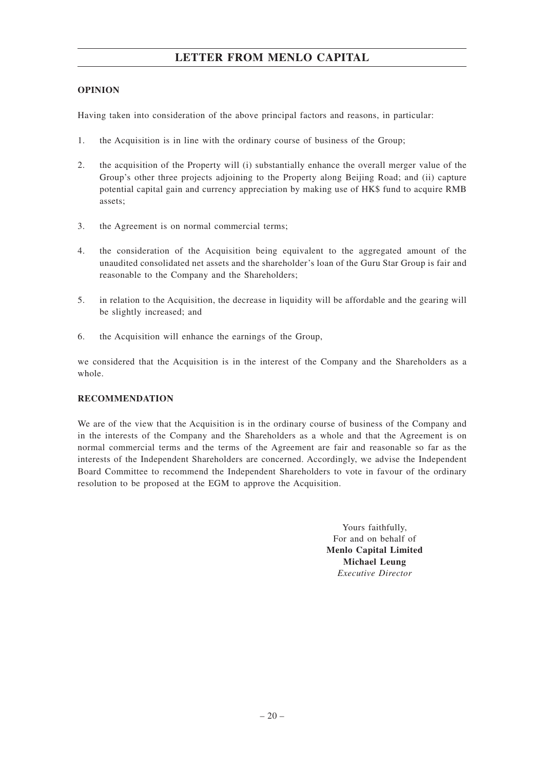# **OPINION**

Having taken into consideration of the above principal factors and reasons, in particular:

- 1. the Acquisition is in line with the ordinary course of business of the Group;
- 2. the acquisition of the Property will (i) substantially enhance the overall merger value of the Group's other three projects adjoining to the Property along Beijing Road; and (ii) capture potential capital gain and currency appreciation by making use of HK\$ fund to acquire RMB assets;
- 3. the Agreement is on normal commercial terms;
- 4. the consideration of the Acquisition being equivalent to the aggregated amount of the unaudited consolidated net assets and the shareholder's loan of the Guru Star Group is fair and reasonable to the Company and the Shareholders;
- 5. in relation to the Acquisition, the decrease in liquidity will be affordable and the gearing will be slightly increased; and
- 6. the Acquisition will enhance the earnings of the Group,

we considered that the Acquisition is in the interest of the Company and the Shareholders as a whole.

# **RECOMMENDATION**

We are of the view that the Acquisition is in the ordinary course of business of the Company and in the interests of the Company and the Shareholders as a whole and that the Agreement is on normal commercial terms and the terms of the Agreement are fair and reasonable so far as the interests of the Independent Shareholders are concerned. Accordingly, we advise the Independent Board Committee to recommend the Independent Shareholders to vote in favour of the ordinary resolution to be proposed at the EGM to approve the Acquisition.

> Yours faithfully, For and on behalf of **Menlo Capital Limited Michael Leung** *Executive Director*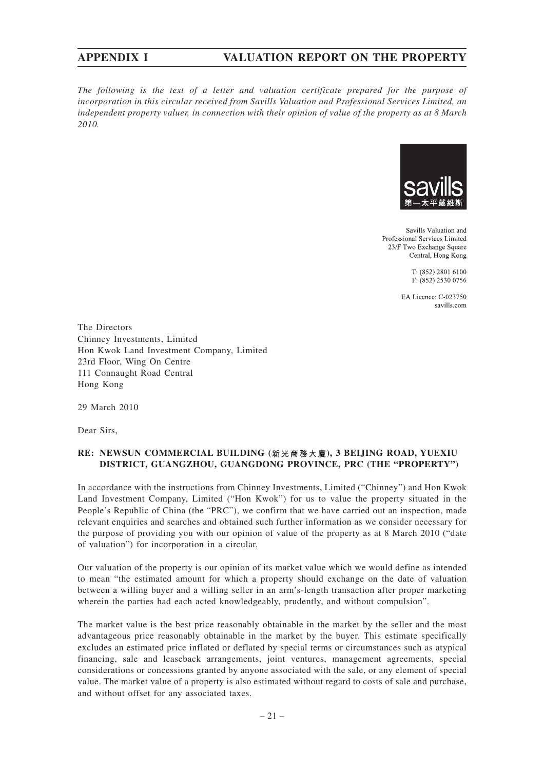# **APPENDIX I VALUATION REPORT ON THE PROPERTY**

*The following is the text of a letter and valuation certificate prepared for the purpose of incorporation in this circular received from Savills Valuation and Professional Services Limited, an independent property valuer, in connection with their opinion of value of the property as at 8 March 2010.*



Savills Valuation and Professional Services Limited 23/F Two Exchange Square Central, Hong Kong

> T: (852) 2801 6100 F: (852) 2530 0756

EA Licence: C-023750 savills.com

The Directors Chinney Investments, Limited Hon Kwok Land Investment Company, Limited 23rd Floor, Wing On Centre 111 Connaught Road Central Hong Kong

29 March 2010

Dear Sirs,

# **RE: NEWSUN COMMERCIAL BUILDING (新光商務大廈), 3 BEIJING ROAD, YUEXIU DISTRICT, GUANGZHOU, GUANGDONG PROVINCE, PRC (THE "PROPERTY")**

In accordance with the instructions from Chinney Investments, Limited ("Chinney") and Hon Kwok Land Investment Company, Limited ("Hon Kwok") for us to value the property situated in the People's Republic of China (the "PRC"), we confirm that we have carried out an inspection, made relevant enquiries and searches and obtained such further information as we consider necessary for the purpose of providing you with our opinion of value of the property as at 8 March 2010 ("date of valuation") for incorporation in a circular.

Our valuation of the property is our opinion of its market value which we would define as intended to mean "the estimated amount for which a property should exchange on the date of valuation between a willing buyer and a willing seller in an arm's-length transaction after proper marketing wherein the parties had each acted knowledgeably, prudently, and without compulsion".

The market value is the best price reasonably obtainable in the market by the seller and the most advantageous price reasonably obtainable in the market by the buyer. This estimate specifically excludes an estimated price inflated or deflated by special terms or circumstances such as atypical financing, sale and leaseback arrangements, joint ventures, management agreements, special considerations or concessions granted by anyone associated with the sale, or any element of special value. The market value of a property is also estimated without regard to costs of sale and purchase, and without offset for any associated taxes.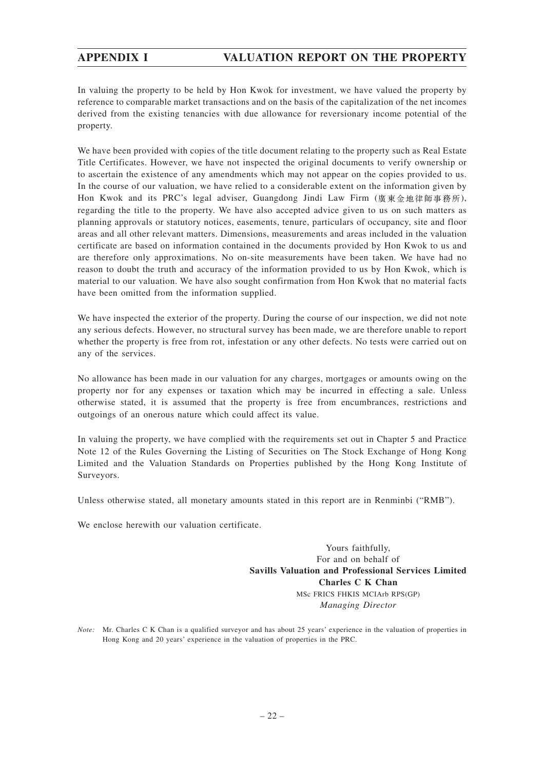In valuing the property to be held by Hon Kwok for investment, we have valued the property by reference to comparable market transactions and on the basis of the capitalization of the net incomes derived from the existing tenancies with due allowance for reversionary income potential of the property.

We have been provided with copies of the title document relating to the property such as Real Estate Title Certificates. However, we have not inspected the original documents to verify ownership or to ascertain the existence of any amendments which may not appear on the copies provided to us. In the course of our valuation, we have relied to a considerable extent on the information given by Hon Kwok and its PRC's legal adviser, Guangdong Jindi Law Firm (廣東金地律師事務所), regarding the title to the property. We have also accepted advice given to us on such matters as planning approvals or statutory notices, easements, tenure, particulars of occupancy, site and floor areas and all other relevant matters. Dimensions, measurements and areas included in the valuation certificate are based on information contained in the documents provided by Hon Kwok to us and are therefore only approximations. No on-site measurements have been taken. We have had no reason to doubt the truth and accuracy of the information provided to us by Hon Kwok, which is material to our valuation. We have also sought confirmation from Hon Kwok that no material facts have been omitted from the information supplied.

We have inspected the exterior of the property. During the course of our inspection, we did not note any serious defects. However, no structural survey has been made, we are therefore unable to report whether the property is free from rot, infestation or any other defects. No tests were carried out on any of the services.

No allowance has been made in our valuation for any charges, mortgages or amounts owing on the property nor for any expenses or taxation which may be incurred in effecting a sale. Unless otherwise stated, it is assumed that the property is free from encumbrances, restrictions and outgoings of an onerous nature which could affect its value.

In valuing the property, we have complied with the requirements set out in Chapter 5 and Practice Note 12 of the Rules Governing the Listing of Securities on The Stock Exchange of Hong Kong Limited and the Valuation Standards on Properties published by the Hong Kong Institute of Surveyors.

Unless otherwise stated, all monetary amounts stated in this report are in Renminbi ("RMB").

We enclose herewith our valuation certificate.

Yours faithfully, For and on behalf of **Savills Valuation and Professional Services Limited Charles C K Chan** MSc FRICS FHKIS MCIArb RPS(GP) *Managing Director*

*Note:* Mr. Charles C K Chan is a qualified surveyor and has about 25 years' experience in the valuation of properties in Hong Kong and 20 years' experience in the valuation of properties in the PRC.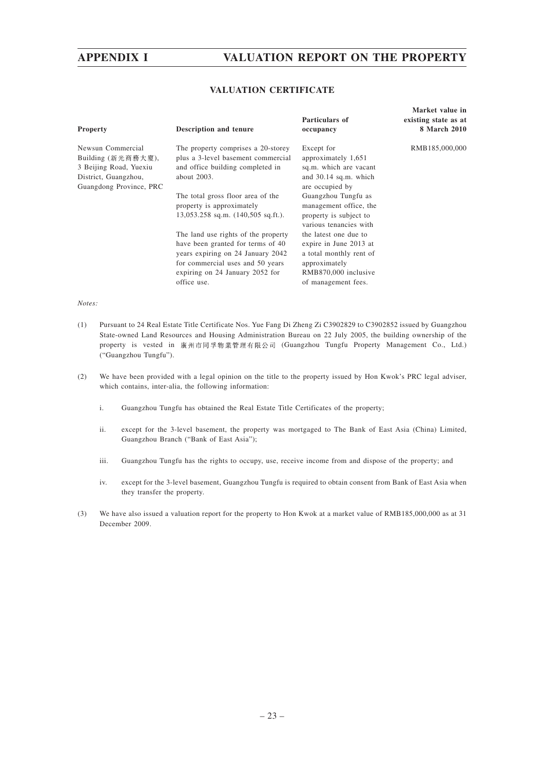# **APPENDIX I VALUATION REPORT ON THE PROPERTY**

## **VALUATION CERTIFICATE**

| <b>Property</b>                                                                                                      | Description and tenure                                                                                                                                                                              | Particulars of<br>occupancy                                                                                                                | Market value in<br>existing state as at<br>8 March 2010 |
|----------------------------------------------------------------------------------------------------------------------|-----------------------------------------------------------------------------------------------------------------------------------------------------------------------------------------------------|--------------------------------------------------------------------------------------------------------------------------------------------|---------------------------------------------------------|
| Newsun Commercial<br>Building (新光商務大廈),<br>3 Beijing Road, Yuexiu<br>District, Guangzhou,<br>Guangdong Province, PRC | The property comprises a 20-storey<br>plus a 3-level basement commercial<br>and office building completed in<br>about 2003.                                                                         | Except for<br>approximately 1,651<br>sq.m. which are vacant<br>and $30.14$ sq.m. which<br>are occupied by                                  | RMB185,000,000                                          |
|                                                                                                                      | The total gross floor area of the<br>property is approximately<br>$13,053.258$ sq.m. $(140,505$ sq.ft.).                                                                                            | Guangzhou Tungfu as<br>management office, the<br>property is subject to<br>various tenancies with                                          |                                                         |
|                                                                                                                      | The land use rights of the property<br>have been granted for terms of 40<br>years expiring on 24 January 2042<br>for commercial uses and 50 years<br>expiring on 24 January 2052 for<br>office use. | the latest one due to<br>expire in June 2013 at<br>a total monthly rent of<br>approximately<br>RMB870,000 inclusive<br>of management fees. |                                                         |

#### *Notes:*

- (1) Pursuant to 24 Real Estate Title Certificate Nos. Yue Fang Di Zheng Zi C3902829 to C3902852 issued by Guangzhou State-owned Land Resources and Housing Administration Bureau on 22 July 2005, the building ownership of the property is vested in 廣州市同孚物業管理有限公司 (Guangzhou Tungfu Property Management Co., Ltd.) ("Guangzhou Tungfu").
- (2) We have been provided with a legal opinion on the title to the property issued by Hon Kwok's PRC legal adviser, which contains, inter-alia, the following information:
	- i. Guangzhou Tungfu has obtained the Real Estate Title Certificates of the property;
	- ii. except for the 3-level basement, the property was mortgaged to The Bank of East Asia (China) Limited, Guangzhou Branch ("Bank of East Asia");
	- iii. Guangzhou Tungfu has the rights to occupy, use, receive income from and dispose of the property; and
	- iv. except for the 3-level basement, Guangzhou Tungfu is required to obtain consent from Bank of East Asia when they transfer the property.
- (3) We have also issued a valuation report for the property to Hon Kwok at a market value of RMB185,000,000 as at 31 December 2009.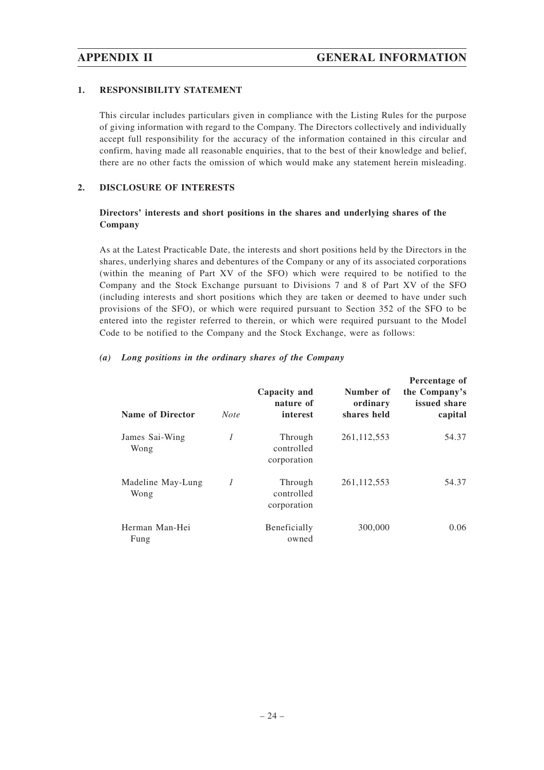# **1. RESPONSIBILITY STATEMENT**

This circular includes particulars given in compliance with the Listing Rules for the purpose of giving information with regard to the Company. The Directors collectively and individually accept full responsibility for the accuracy of the information contained in this circular and confirm, having made all reasonable enquiries, that to the best of their knowledge and belief, there are no other facts the omission of which would make any statement herein misleading.

# **2. DISCLOSURE OF INTERESTS**

# **Directors' interests and short positions in the shares and underlying shares of the Company**

As at the Latest Practicable Date, the interests and short positions held by the Directors in the shares, underlying shares and debentures of the Company or any of its associated corporations (within the meaning of Part XV of the SFO) which were required to be notified to the Company and the Stock Exchange pursuant to Divisions 7 and 8 of Part XV of the SFO (including interests and short positions which they are taken or deemed to have under such provisions of the SFO), or which were required pursuant to Section 352 of the SFO to be entered into the register referred to therein, or which were required pursuant to the Model Code to be notified to the Company and the Stock Exchange, were as follows:

|  |  |  |  | (a) Long positions in the ordinary shares of the Company |  |
|--|--|--|--|----------------------------------------------------------|--|
|  |  |  |  |                                                          |  |

| <b>Name of Director</b>   | <b>Note</b>    | Capacity and<br>nature of<br>interest | Number of<br>ordinary<br>shares held | Percentage of<br>the Company's<br>issued share<br>capital |
|---------------------------|----------------|---------------------------------------|--------------------------------------|-----------------------------------------------------------|
| James Sai-Wing<br>Wong    | 1              | Through<br>controlled<br>corporation  | 261, 112, 553                        | 54.37                                                     |
| Madeline May-Lung<br>Wong | $\overline{I}$ | Through<br>controlled<br>corporation  | 261, 112, 553                        | 54.37                                                     |
| Herman Man-Hei<br>Fung    |                | Beneficially<br>owned                 | 300,000                              | 0.06                                                      |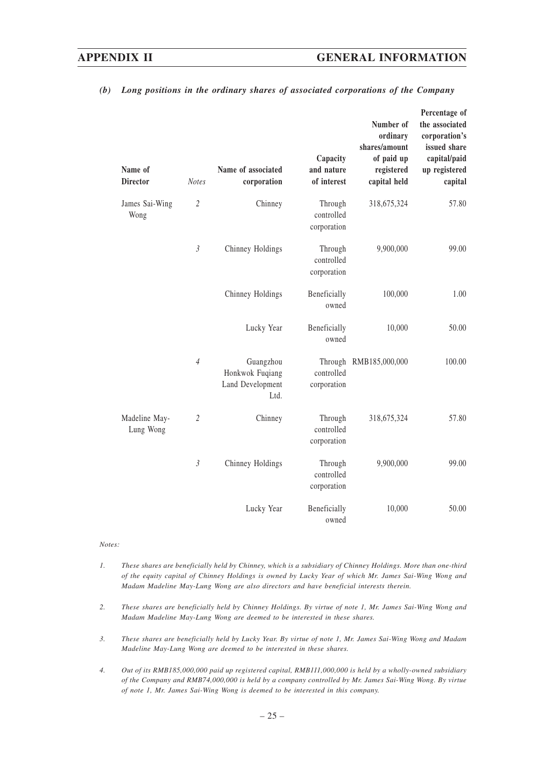# **APPENDIX II GENERAL INFORMATION**

| Name of<br><b>Director</b> | <b>Notes</b>   | Name of associated<br>corporation                        | Capacity<br>and nature<br>of interest | Number of<br>ordinary<br>shares/amount<br>of paid up<br>registered<br>capital held | Percentage of<br>the associated<br>corporation's<br>issued share<br>capital/paid<br>up registered<br>capital |
|----------------------------|----------------|----------------------------------------------------------|---------------------------------------|------------------------------------------------------------------------------------|--------------------------------------------------------------------------------------------------------------|
| James Sai-Wing<br>Wong     | $\overline{c}$ | Chinney                                                  | Through<br>controlled<br>corporation  | 318,675,324                                                                        | 57.80                                                                                                        |
|                            | $\mathfrak{Z}$ | Chinney Holdings                                         | Through<br>controlled<br>corporation  | 9,900,000                                                                          | 99.00                                                                                                        |
|                            |                | Chinney Holdings                                         | Beneficially<br>owned                 | 100,000                                                                            | 1.00                                                                                                         |
|                            |                | Lucky Year                                               | Beneficially<br>owned                 | 10,000                                                                             | 50.00                                                                                                        |
|                            | $\overline{4}$ | Guangzhou<br>Honkwok Fuqiang<br>Land Development<br>Ltd. | controlled<br>corporation             | Through RMB185,000,000                                                             | 100.00                                                                                                       |
| Madeline May-<br>Lung Wong | $\overline{c}$ | Chinney                                                  | Through<br>controlled<br>corporation  | 318,675,324                                                                        | 57.80                                                                                                        |
|                            | $\mathfrak{Z}$ | Chinney Holdings                                         | Through<br>controlled<br>corporation  | 9,900,000                                                                          | 99.00                                                                                                        |
|                            |                | Lucky Year                                               | Beneficially<br>owned                 | 10,000                                                                             | 50.00                                                                                                        |

#### *(b) Long positions in the ordinary shares of associated corporations of the Company*

#### *Notes:*

- *1. These shares are beneficially held by Chinney, which is a subsidiary of Chinney Holdings. More than one-third of the equity capital of Chinney Holdings is owned by Lucky Year of which Mr. James Sai-Wing Wong and Madam Madeline May-Lung Wong are also directors and have beneficial interests therein.*
- *2. These shares are beneficially held by Chinney Holdings. By virtue of note 1, Mr. James Sai-Wing Wong and Madam Madeline May-Lung Wong are deemed to be interested in these shares.*
- *3. These shares are beneficially held by Lucky Year. By virtue of note 1, Mr. James Sai-Wing Wong and Madam Madeline May-Lung Wong are deemed to be interested in these shares.*
- *4. Out of its RMB185,000,000 paid up registered capital, RMB111,000,000 is held by a wholly-owned subsidiary of the Company and RMB74,000,000 is held by a company controlled by Mr. James Sai-Wing Wong. By virtue of note 1, Mr. James Sai-Wing Wong is deemed to be interested in this company.*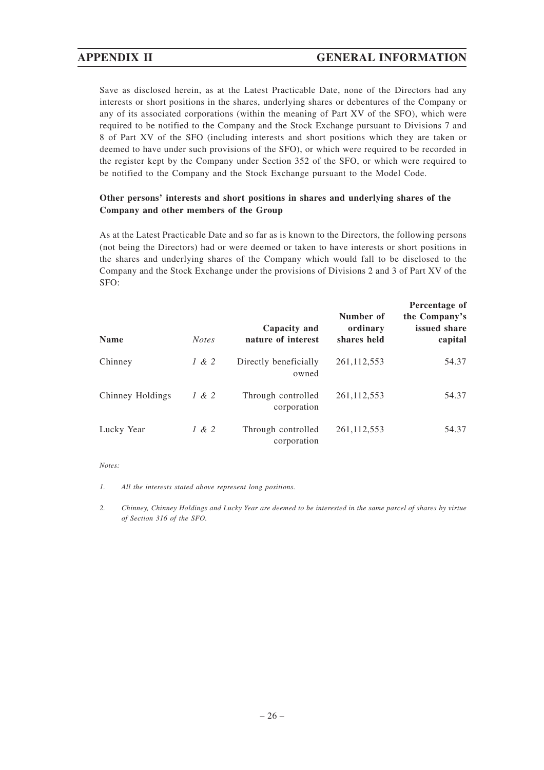Save as disclosed herein, as at the Latest Practicable Date, none of the Directors had any interests or short positions in the shares, underlying shares or debentures of the Company or any of its associated corporations (within the meaning of Part XV of the SFO), which were required to be notified to the Company and the Stock Exchange pursuant to Divisions 7 and 8 of Part XV of the SFO (including interests and short positions which they are taken or deemed to have under such provisions of the SFO), or which were required to be recorded in the register kept by the Company under Section 352 of the SFO, or which were required to be notified to the Company and the Stock Exchange pursuant to the Model Code.

# **Other persons' interests and short positions in shares and underlying shares of the Company and other members of the Group**

As at the Latest Practicable Date and so far as is known to the Directors, the following persons (not being the Directors) had or were deemed or taken to have interests or short positions in the shares and underlying shares of the Company which would fall to be disclosed to the Company and the Stock Exchange under the provisions of Divisions 2 and 3 of Part XV of the SFO:

| <b>Name</b>      | <b>Notes</b> | Capacity and<br>nature of interest | Number of<br>ordinary<br>shares held | Percentage of<br>the Company's<br>issued share<br>capital |
|------------------|--------------|------------------------------------|--------------------------------------|-----------------------------------------------------------|
| Chinney          | 1 & 2        | Directly beneficially<br>owned     | 261, 112, 553                        | 54.37                                                     |
| Chinney Holdings | 1 & 2        | Through controlled<br>corporation  | 261, 112, 553                        | 54.37                                                     |
| Lucky Year       | 1 & 2        | Through controlled<br>corporation  | 261, 112, 553                        | 54.37                                                     |

#### *Notes:*

*1. All the interests stated above represent long positions.*

*2. Chinney, Chinney Holdings and Lucky Year are deemed to be interested in the same parcel of shares by virtue of Section 316 of the SFO.*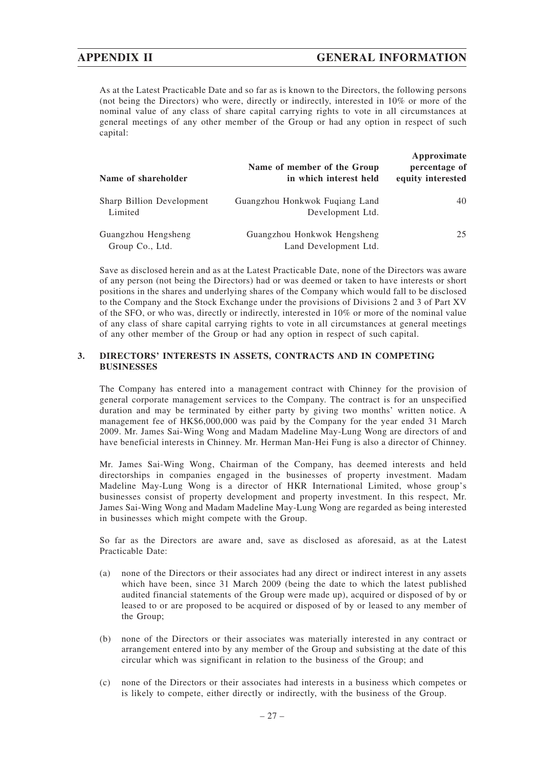As at the Latest Practicable Date and so far as is known to the Directors, the following persons (not being the Directors) who were, directly or indirectly, interested in 10% or more of the nominal value of any class of share capital carrying rights to vote in all circumstances at general meetings of any other member of the Group or had any option in respect of such capital:

| Name of shareholder                    | Name of member of the Group<br>in which interest held | Approximate<br>percentage of<br>equity interested |
|----------------------------------------|-------------------------------------------------------|---------------------------------------------------|
| Sharp Billion Development<br>Limited   | Guangzhou Honkwok Fugiang Land<br>Development Ltd.    | 40                                                |
| Guangzhou Hengsheng<br>Group Co., Ltd. | Guangzhou Honkwok Hengsheng<br>Land Development Ltd.  | 25                                                |

Save as disclosed herein and as at the Latest Practicable Date, none of the Directors was aware of any person (not being the Directors) had or was deemed or taken to have interests or short positions in the shares and underlying shares of the Company which would fall to be disclosed to the Company and the Stock Exchange under the provisions of Divisions 2 and 3 of Part XV of the SFO, or who was, directly or indirectly, interested in 10% or more of the nominal value of any class of share capital carrying rights to vote in all circumstances at general meetings of any other member of the Group or had any option in respect of such capital.

# **3. DIRECTORS' INTERESTS IN ASSETS, CONTRACTS AND IN COMPETING BUSINESSES**

The Company has entered into a management contract with Chinney for the provision of general corporate management services to the Company. The contract is for an unspecified duration and may be terminated by either party by giving two months' written notice. A management fee of HK\$6,000,000 was paid by the Company for the year ended 31 March 2009. Mr. James Sai-Wing Wong and Madam Madeline May-Lung Wong are directors of and have beneficial interests in Chinney. Mr. Herman Man-Hei Fung is also a director of Chinney.

Mr. James Sai-Wing Wong, Chairman of the Company, has deemed interests and held directorships in companies engaged in the businesses of property investment. Madam Madeline May-Lung Wong is a director of HKR International Limited, whose group's businesses consist of property development and property investment. In this respect, Mr. James Sai-Wing Wong and Madam Madeline May-Lung Wong are regarded as being interested in businesses which might compete with the Group.

So far as the Directors are aware and, save as disclosed as aforesaid, as at the Latest Practicable Date:

- (a) none of the Directors or their associates had any direct or indirect interest in any assets which have been, since 31 March 2009 (being the date to which the latest published audited financial statements of the Group were made up), acquired or disposed of by or leased to or are proposed to be acquired or disposed of by or leased to any member of the Group;
- (b) none of the Directors or their associates was materially interested in any contract or arrangement entered into by any member of the Group and subsisting at the date of this circular which was significant in relation to the business of the Group; and
- (c) none of the Directors or their associates had interests in a business which competes or is likely to compete, either directly or indirectly, with the business of the Group.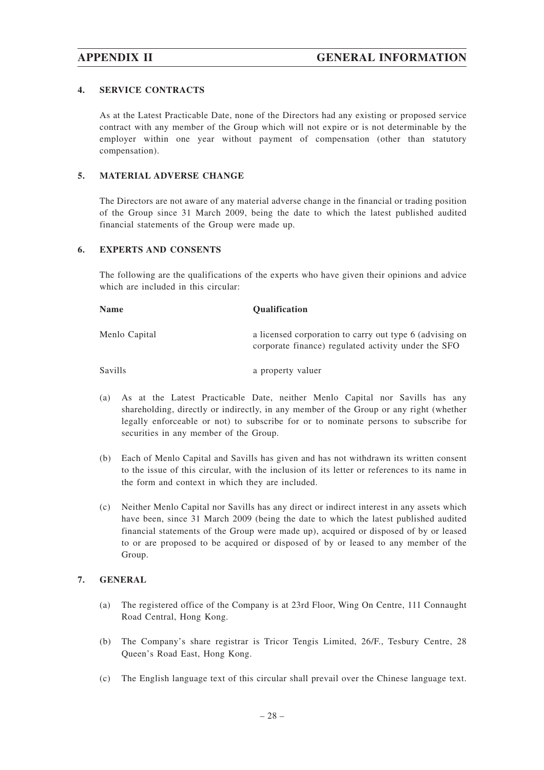# **4. SERVICE CONTRACTS**

As at the Latest Practicable Date, none of the Directors had any existing or proposed service contract with any member of the Group which will not expire or is not determinable by the employer within one year without payment of compensation (other than statutory compensation).

#### **5. MATERIAL ADVERSE CHANGE**

The Directors are not aware of any material adverse change in the financial or trading position of the Group since 31 March 2009, being the date to which the latest published audited financial statements of the Group were made up.

## **6. EXPERTS AND CONSENTS**

The following are the qualifications of the experts who have given their opinions and advice which are included in this circular:

| <b>Name</b>    | <b>Qualification</b>                                                                                           |
|----------------|----------------------------------------------------------------------------------------------------------------|
| Menlo Capital  | a licensed corporation to carry out type 6 (advising on<br>corporate finance) regulated activity under the SFO |
| <b>Savills</b> | a property valuer                                                                                              |

- (a) As at the Latest Practicable Date, neither Menlo Capital nor Savills has any shareholding, directly or indirectly, in any member of the Group or any right (whether legally enforceable or not) to subscribe for or to nominate persons to subscribe for securities in any member of the Group.
- (b) Each of Menlo Capital and Savills has given and has not withdrawn its written consent to the issue of this circular, with the inclusion of its letter or references to its name in the form and context in which they are included.
- (c) Neither Menlo Capital nor Savills has any direct or indirect interest in any assets which have been, since 31 March 2009 (being the date to which the latest published audited financial statements of the Group were made up), acquired or disposed of by or leased to or are proposed to be acquired or disposed of by or leased to any member of the Group.

# **7. GENERAL**

- (a) The registered office of the Company is at 23rd Floor, Wing On Centre, 111 Connaught Road Central, Hong Kong.
- (b) The Company's share registrar is Tricor Tengis Limited, 26/F., Tesbury Centre, 28 Queen's Road East, Hong Kong.
- (c) The English language text of this circular shall prevail over the Chinese language text.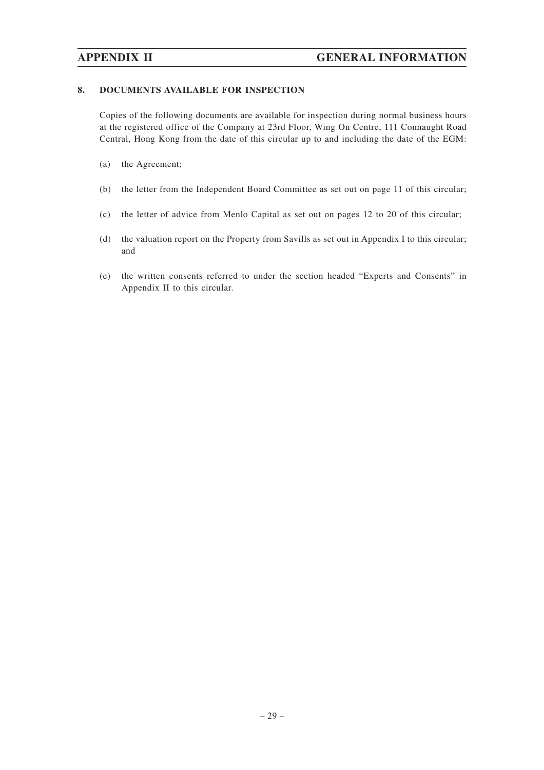# **8. DOCUMENTS AVAILABLE FOR INSPECTION**

Copies of the following documents are available for inspection during normal business hours at the registered office of the Company at 23rd Floor, Wing On Centre, 111 Connaught Road Central, Hong Kong from the date of this circular up to and including the date of the EGM:

- (a) the Agreement;
- (b) the letter from the Independent Board Committee as set out on page 11 of this circular;
- (c) the letter of advice from Menlo Capital as set out on pages 12 to 20 of this circular;
- (d) the valuation report on the Property from Savills as set out in Appendix I to this circular; and
- (e) the written consents referred to under the section headed "Experts and Consents" in Appendix II to this circular.